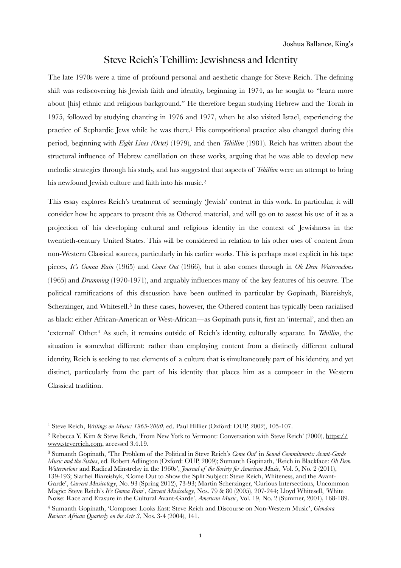# <span id="page-0-4"></span>Steve Reich's Tehillim: Jewishness and Identity

The late 1970s were a time of profound personal and aesthetic change for Steve Reich. The defining shift was rediscovering his Jewish faith and identity, beginning in 1974, as he sought to "learn more about [his] ethnic and religious background." He therefore began studying Hebrew and the Torah in 1975, followed by studying chanting in 1976 and 1977, when he also visited Israel, experiencing the practice of Sephardic Jews while he was there[.](#page-0-0)<sup>[1](#page-0-0)</sup> His compositional practice also changed during this period, beginning with *Eight Lines (Octet)* (1979), and then *Tehillim* (1981). Reich has written about the structural influence of Hebrew cantillation on these works, arguing that he was able to develop new melodic strategies through his study, and has suggested that aspects of *Tehillim* were an attempt to bring his newfound Jewish culture and faith into his music[. 2](#page-0-1)

<span id="page-0-6"></span><span id="page-0-5"></span>This essay explores Reich's treatment of seemingly 'Jewish' content in this work. In particular, it will consider how he appears to present this as Othered material, and will go on to assess his use of it as a projection of his developing cultural and religious identity in the context of Jewishness in the twentieth-century United States. This will be considered in relation to his other uses of content from non-Western Classical sources, particularly in his earlier works. This is perhaps most explicit in his tape pieces, *It's Gonna Rain* (1965) and *Come Out* (1966), but it also comes through in *Oh Dem Watermelons*  (1965) and *Drumming* (1970-1971), and arguably influences many of the key features of his oeuvre. The political ramifications of this discussion have been outlined in particular by Gopinath, Biareishyk, Scherzinger, and Whitesell.<sup>[3](#page-0-2)</sup> In these cases, however, the Othered content has typically been racialised as black: either African-American or West-African—as Gopinath puts it, first an 'internal', and then an 'external' Other.<sup>[4](#page-0-3)</sup> As such, it remains outside of Reich's identity, culturally separate. In *Tehillim*, the situation is somewhat different: rather than employing content from a distinctly different cultural identity, Reich is seeking to use elements of a culture that is simultaneously part of his identity, and yet distinct, particularly from the part of his identity that places him as a composer in the Western Classical tradition.

<span id="page-0-7"></span><span id="page-0-0"></span><sup>&</sup>lt;sup>[1](#page-0-4)</sup> Steve Reich, *Writings on Music: 1965-2000*, ed. Paul Hillier (Oxford: OUP, 2002), 105-107.

<span id="page-0-1"></span>Rebecca Y. Kim & Steve Reich, 'From New York to Vermont: Conversation with Steve Reich' (2000), [https://](https://www.stevereich.com) [2](#page-0-5) [www.stevereich.com](https://www.stevereich.com), accessed 3.4.19.

<span id="page-0-2"></span>Sumanth Gopinath, 'The Problem of the Political in Steve Reich's *Come Out*' in *Sound Commitments: Avant-Garde* [3](#page-0-6) *Music and the Sixties*, ed. Robert Adlington (Oxford: OUP, 2009); Sumanth Gopinath, 'Reich in Blackface: *Oh Dem Watermelons* and Radical Minstrelsy in the 1960s', *Journal of the Society for American Music*, Vol. 5, No. 2 (2011), 139-193; Siarhei Biareishyk, 'Come Out to Show the Split Subject: Steve Reich, Whiteness, and the Avant-Garde', *Current Musicology*, No. 93 (Spring 2012), 73-93; Martin Scherzinger, 'Curious Intersections, Uncommon Magic: Steve Reich's *It's Gonna Rain*', *Current Musicology*, Nos. 79 & 80 (2005), 207-244; Lloyd Whitesell, 'White Noise: Race and Erasure in the Cultural Avant-Garde', *American Music*, Vol. 19, No. 2 (Summer, 2001), 168-189.

<span id="page-0-3"></span>Sumanth Gopinath, 'Composer Looks East: Steve Reich and Discourse on Non-Western Music', *Glendora* [4](#page-0-7) *Review: African Quarterly on the Arts 3*, Nos. 3-4 (2004), 141.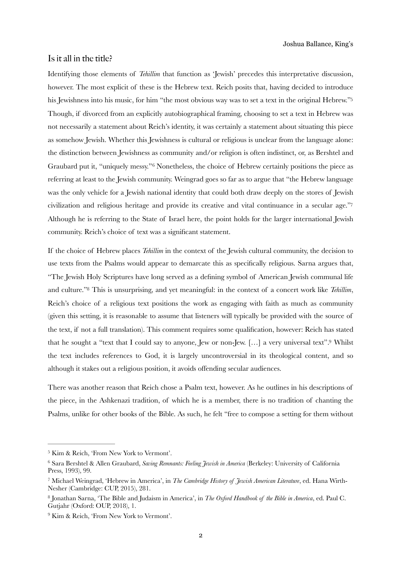## Is it all in the title?

<span id="page-1-5"></span>Identifying those elements of *Tehillim* that function as 'Jewish' precedes this interpretative discussion, however. The most explicit of these is the Hebrew text. Reich posits that, having decided to introduce his Jewishness into his music, for him "the most obvious way was to set a text in the original Hebrew."<sup>5</sup> Though, if divorced from an explicitly autobiographical framing, choosing to set a text in Hebrew was not necessarily a statement about Reich's identity, it was certainly a statement about situating this piece as somehow Jewish. Whether this Jewishness is cultural or religious is unclear from the language alone: the distinction between Jewishness as community and/or religion is often indistinct, or, as Bershtel and Graubard put it, "uniquely messy."<sup>[6](#page-1-1)</sup> Nonetheless, the choice of Hebrew certainly positions the piece as referring at least to the Jewish community. Weingrad goes so far as to argue that "the Hebrew language was the only vehicle for a Jewish national identity that could both draw deeply on the stores of Jewish civilization and religious heritage and provide its creative and vital continuance in a secular age.["7](#page-1-2) Although he is referring to the State of Israel here, the point holds for the larger international Jewish community. Reich's choice of text was a significant statement.

<span id="page-1-8"></span><span id="page-1-7"></span><span id="page-1-6"></span>If the choice of Hebrew places *Tehillim* in the context of the Jewish cultural community, the decision to use texts from the Psalms would appear to demarcate this as specifically religious. Sarna argues that, "The Jewish Holy Scriptures have long served as a defining symbol of American Jewish communal life and culture.["](#page-1-3)<sup>8</sup> This is unsurprising, and yet meaningful: in the context of a concert work like *Tehillim*, Reich's choice of a religious text positions the work as engaging with faith as much as community (given this setting, it is reasonable to assume that listeners will typically be provided with the source of the text, if not a full translation). This comment requires some qualification, however: Reich has stated that he sought a "text that I could say to anyone, Jew or non-Jew[.](#page-1-4) [...] a very universal text".<sup>[9](#page-1-4)</sup> Whilst the text includes references to God, it is largely uncontroversial in its theological content, and so although it stakes out a religious position, it avoids offending secular audiences.

<span id="page-1-9"></span>There was another reason that Reich chose a Psalm text, however. As he outlines in his descriptions of the piece, in the Ashkenazi tradition, of which he is a member, there is no tradition of chanting the Psalms, unlike for other books of the Bible. As such, he felt "free to compose a setting for them without

<span id="page-1-0"></span><sup>&</sup>lt;sup>[5](#page-1-5)</sup> Kim & Reich, 'From New York to Vermont'.

<span id="page-1-1"></span>Sara Bershtel & Allen Graubard, *Saving Remnants: Feeling Jewish in America* (Berkeley: University of California [6](#page-1-6) Press, 1993), 99.

<span id="page-1-2"></span>Michael Weingrad, 'Hebrew in America', in *The Cambridge History of Jewish American Literature*, ed. Hana Wirth- [7](#page-1-7) Nesher (Cambridge: CUP, 2015), 281.

<span id="page-1-3"></span><sup>&</sup>lt;sup>[8](#page-1-8)</sup> Jonathan Sarna, 'The Bible and Judaism in America', in *The Oxford Handbook of the Bible in America*, ed. Paul C. Gutjahr (Oxford: OUP, 2018), 1.

<span id="page-1-4"></span><sup>&</sup>lt;sup>[9](#page-1-9)</sup> Kim & Reich. 'From New York to Vermont'.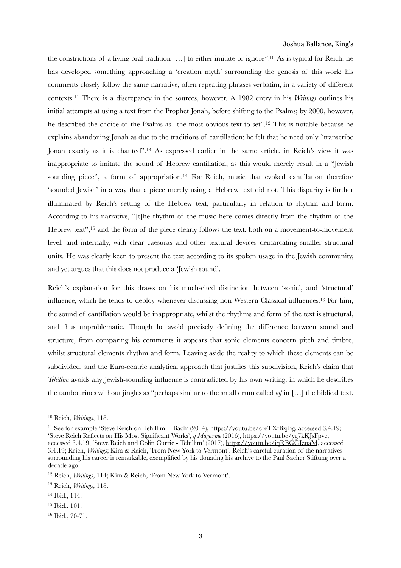<span id="page-2-10"></span><span id="page-2-9"></span><span id="page-2-8"></span><span id="page-2-7"></span>the constrictions of a living oral tradition  $[\dots]$  to either imitate or ignore".<sup>[10](#page-2-0)</sup> As is typical for Reich, he has developed something approaching a 'creation myth' surrounding the genesis of this work: his comments closely follow the same narrative, often repeating phrases verbatim, in a variety of different contexts.<sup>[11](#page-2-1)</sup> There is a discrepancy in the sources, however. A 1982 entry in his *Writings* outlines his initial attempts at using a text from the Prophet Jonah, before shifting to the Psalms; by 2000, however, he described the choice of the Psalms as "the most obvious text to set"[.](#page-2-2)<sup>[12](#page-2-2)</sup> This is notable because he explains abandoning Jonah as due to the traditions of cantillation: he felt that he need only "transcribe Jonah exactly as it is chanted"[.](#page-2-3)<sup>[13](#page-2-3)</sup> As expressed earlier in the same article, in Reich's view it was inappropriate to imitate the sound of Hebrew cantillation, as this would merely result in a "Jewish sounding piece", a form of appropriation[.](#page-2-4)<sup>[14](#page-2-4)</sup> For Reich, music that evoked cantillation therefore 'sounded Jewish' in a way that a piece merely using a Hebrew text did not. This disparity is further illuminated by Reich's setting of the Hebrew text, particularly in relation to rhythm and form. According to his narrative, "[t]he rhythm of the music here comes directly from the rhythm of the Hebrew text"[,](#page-2-5)  $15$  and the form of the piece clearly follows the text, both on a movement-to-movement level, and internally, with clear caesuras and other textural devices demarcating smaller structural units. He was clearly keen to present the text according to its spoken usage in the Jewish community, and yet argues that this does not produce a 'Jewish sound'.

<span id="page-2-13"></span><span id="page-2-12"></span><span id="page-2-11"></span>Reich's explanation for this draws on his much-cited distinction between 'sonic', and 'structural' influence, which he tends to deploy whenever discussing non-Western-Classical influences.<sup>[16](#page-2-6)</sup> For him, the sound of cantillation would be inappropriate, whilst the rhythms and form of the text is structural, and thus unproblematic. Though he avoid precisely defining the difference between sound and structure, from comparing his comments it appears that sonic elements concern pitch and timbre, whilst structural elements rhythm and form. Leaving aside the reality to which these elements can be subdivided, and the Euro-centric analytical approach that justifies this subdivision, Reich's claim that *Tehillim* avoids any Jewish-sounding influence is contradicted by his own writing, in which he describes the tambourines without jingles as "perhaps similar to the small drum called *tof* in […] the biblical text.

<span id="page-2-5"></span> $15$  Ibid.,  $101$ .

<span id="page-2-0"></span><sup>&</sup>lt;sup>[10](#page-2-7)</sup> Reich, *Writings*, 118.

<span id="page-2-1"></span><sup>&</sup>lt;sup>11</sup>See for example 'Steve Reich on Tehillim + Bach' (2014), [https://youtu.be/creTXfBzjBg,](https://youtu.be/creTXfBzjBg) accessed 3.4.19; 'Steve Reich Reflects on His Most Significant Works', *q Magazine* (2016), [https://youtu.be/yg7kKJsFpvc,](https://youtu.be/yg7kKJsFpvc) accessed 3.4.19; 'Steve Reich and Colin Currie - Tehillim' (2017),<https://youtu.be/iqRBGGIzuaM>, accessed 3.4.19; Reich, *Writings*; Kim & Reich, 'From New York to Vermont'. Reich's careful curation of the narratives surrounding his career is remarkable, exemplified by his donating his archive to the Paul Sacher Stiftung over a decade ago.

<span id="page-2-2"></span><sup>&</sup>lt;sup>[12](#page-2-9)</sup> Reich, *Writings*, 114; Kim & Reich, 'From New York to Vermont'.

<span id="page-2-3"></span><sup>&</sup>lt;sup>[13](#page-2-10)</sup> Reich, *Writings*, 118.

<span id="page-2-4"></span> $14$  Ibid., 114.

<span id="page-2-6"></span> $16$  Ibid.,  $70-71$ .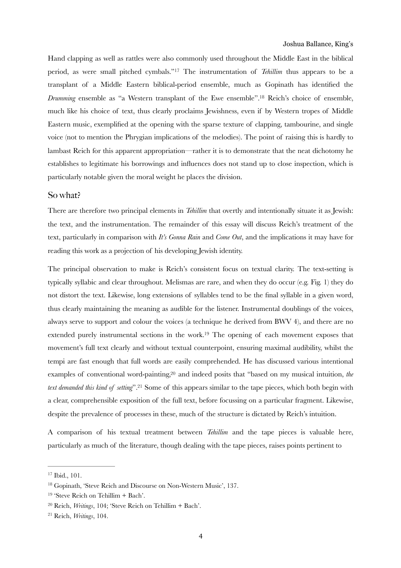<span id="page-3-6"></span><span id="page-3-5"></span>Hand clapping as well as rattles were also commonly used throughout the Middle East in the biblical period, as were small pitched cymbals."<sup>[17](#page-3-0)</sup> The instrumentation of *Tehillim* thus appears to be a transplant of a Middle Eastern biblical-period ensemble, much as Gopinath has identified the *Drumming* ensemble as "a Western transplant of the Ewe ensemble".<sup>[18](#page-3-1)</sup> Reich's choice of ensemble, much like his choice of text, thus clearly proclaims Jewishness, even if by Western tropes of Middle Eastern music, exemplified at the opening with the sparse texture of clapping, tambourine, and single voice (not to mention the Phrygian implications of the melodies). The point of raising this is hardly to lambast Reich for this apparent appropriation—rather it is to demonstrate that the neat dichotomy he establishes to legitimate his borrowings and influences does not stand up to close inspection, which is particularly notable given the moral weight he places the division.

#### So what?

There are therefore two principal elements in *Tehillim* that overtly and intentionally situate it as Jewish: the text, and the instrumentation. The remainder of this essay will discuss Reich's treatment of the text, particularly in comparison with *It's Gonna Rain* and *Come Out*, and the implications it may have for reading this work as a projection of his developing Jewish identity.

<span id="page-3-7"></span>The principal observation to make is Reich's consistent focus on textual clarity. The text-setting is typically syllabic and clear throughout. Melismas are rare, and when they do occur (e.g. Fig. 1) they do not distort the text. Likewise, long extensions of syllables tend to be the final syllable in a given word, thus clearly maintaining the meaning as audible for the listener. Instrumental doublings of the voices, always serve to support and colour the voices (a technique he derived from BWV 4), and there are no extended purely instrumental sections in the work[.](#page-3-2)<sup>[19](#page-3-2)</sup> The opening of each movement exposes that movement's full text clearly and without textual counterpoint, ensuring maximal audibility, whilst the tempi are fast enough that full words are easily comprehended. He has discussed various intentional examplesof conventional word-painting, <sup>20</sup> and indeed posits that "based on my musical intuition, *the text demanded this kind of setting*".<sup>[21](#page-3-4)</sup> Some of this appears similar to the tape pieces, which both begin with a clear, comprehensible exposition of the full text, before focussing on a particular fragment. Likewise, despite the prevalence of processes in these, much of the structure is dictated by Reich's intuition.

<span id="page-3-9"></span><span id="page-3-8"></span>A comparison of his textual treatment between *Tehillim* and the tape pieces is valuable here, particularly as much of the literature, though dealing with the tape pieces, raises points pertinent to

<span id="page-3-0"></span> $17$  Ibid.,  $101$ .

<span id="page-3-1"></span><sup>&</sup>lt;sup>[18](#page-3-6)</sup> Gopinath, 'Steve Reich and Discourse on Non-Western Music', 137.

<span id="page-3-2"></span> $19$  'Steve Reich on Tehillim + Bach'.

<span id="page-3-3"></span><sup>&</sup>lt;sup>[20](#page-3-8)</sup> Reich, *Writings*, 104; 'Steve Reich on Tehillim + Bach'.

<span id="page-3-4"></span><sup>&</sup>lt;sup>[21](#page-3-9)</sup> Reich, *Writings*, 104.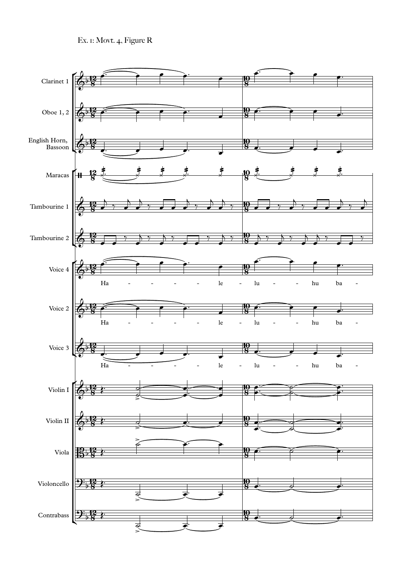Ex. 1: Movt. 4, Figure R

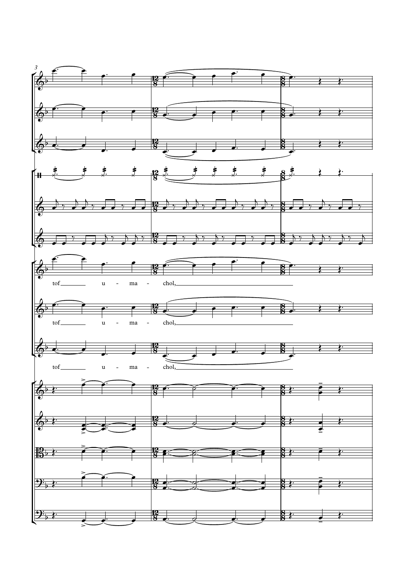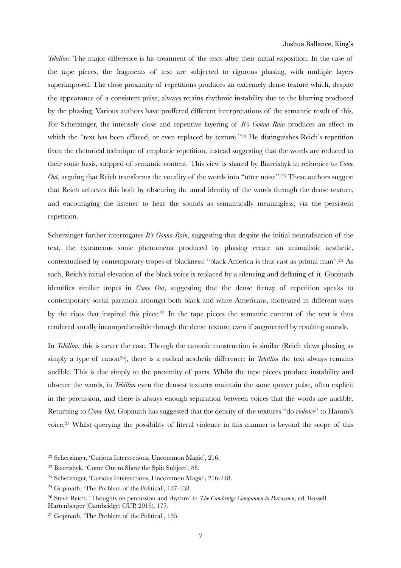<span id="page-6-6"></span>*Tehillim*. The major difference is his treatment of the texts after their initial exposition. In the case of the tape pieces, the fragments of text are subjected to rigorous phasing, with multiple layers superimposed. The close proximity of repetitions produces an extremely dense texture which, despite the appearance of a consistent pulse, always retains rhythmic instability due to the blurring produced by the phasing. Various authors have proffered different interpretations of the semantic result of this. For Scherzinger, the intensely close and repetitive layering of *It's Gonna Rain* produces an effect in which the "text has been effaced, or even replaced by texture."<sup>[22](#page-6-0)</sup> He distinguishes Reich's repetition from the rhetorical technique of emphatic repetition, instead suggesting that the words are reduced to their sonic basis, stripped of semantic content. This view is shared by Biareishyk in reference to *Come Out*, arguing that Reich transforms the vocality of the words into "utter noise".<sup>[23](#page-6-1)</sup> These authors suggest that Reich achieves this both by obscuring the aural identity of the words through the dense texture, and encouraging the listener to hear the sounds as semantically meaningless, via the persistent repetition.

<span id="page-6-8"></span><span id="page-6-7"></span>Scherzinger further interrogates *It's Gonna Rain*, suggesting that despite the initial neutralisation of the text, the extraneous sonic phenomena produced by phasing create an animalistic aesthetic, contextualised by contemporary tropes of blackness: "black America is thus cast as primal man".<sup>[24](#page-6-2)</sup> As such, Reich's initial elevation of the black voice is replaced by a silencing and deflating of it. Gopinath identifies similar tropes in *Come Out*, suggesting that the dense frenzy of repetition speaks to contemporary social paranoia amongst both black and white Americans, motivated in different ways by the riots that inspired this piece.<sup>[25](#page-6-3)</sup> In the tape pieces the semantic content of the text is thus rendered aurally incomprehensible through the dense texture, even if augmented by resulting sounds.

<span id="page-6-10"></span><span id="page-6-9"></span>In *Tehillim*, this is never the case. Though the canonic construction is similar (Reich views phasing as simply a type of canon<sup>[26](#page-6-4)</sup>), there is a radical aesthetic difference: in *Tehillim* the text always remains audible. This is due simply to the proximity of parts. Whilst the tape pieces produce instability and obscure the words, in *Tehillim* even the densest textures maintain the same quaver pulse, often explicit in the percussion, and there is always enough separation between voices that the words are audible. Returning to *Come Out*, Gopinath has suggested that the density of the textures "do *violence*" to Hamm's voice[.](#page-6-5)<sup>[27](#page-6-5)</sup> Whilst querying the possibility of literal violence in this manner is beyond the scope of this

<span id="page-6-11"></span><span id="page-6-0"></span> $22$  Scherzinger, 'Curious Intersections, Uncommon Magic', 216.

<span id="page-6-1"></span><sup>&</sup>lt;sup>[23](#page-6-7)</sup> Biareishyk, 'Come Out to Show the Split Subject', 88.

<span id="page-6-2"></span><sup>&</sup>lt;sup>[24](#page-6-8)</sup> Scherzinger, 'Curious Intersections, Uncommon Magic', 216-218.

<span id="page-6-3"></span> $25$  Gopinath, 'The Problem of the Political', 137-138.

<span id="page-6-4"></span>Steve Reich, 'Thoughts on percussion and rhythm' in *The Cambridge Companion to Percussion*, ed. Russell [26](#page-6-10) Hartenberger (Cambridge: CUP, 2016), 177.

<span id="page-6-5"></span> $27$  Gopinath, 'The Problem of the Political', 135.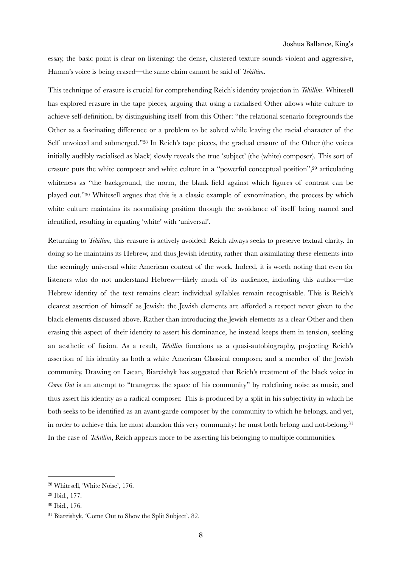essay, the basic point is clear on listening: the dense, clustered texture sounds violent and aggressive, Hamm's voice is being erased—the same claim cannot be said of *Tehillim*.

<span id="page-7-4"></span>This technique of erasure is crucial for comprehending Reich's identity projection in *Tehillim*. Whitesell has explored erasure in the tape pieces, arguing that using a racialised Other allows white culture to achieve self-definition, by distinguishing itself from this Other: "the relational scenario foregrounds the Other as a fascinating difference or a problem to be solved while leaving the racial character of the Self unvoiced and submerged.["](#page-7-0)<sup>[28](#page-7-0)</sup> In Reich's tape pieces, the gradual erasure of the Other (the voices initially audibly racialised as black) slowly reveals the true 'subject' (the (white) composer). This sort of erasure puts the white composer and white culture in a "powerful conceptual position"[,](#page-7-1) $29$  articulating whiteness as "the background, the norm, the blank field against which figures of contrast can be played out." [30](#page-7-2) Whitesell argues that this is a classic example of exnomination, the process by which white culture maintains its normalising position through the avoidance of itself being named and identified, resulting in equating 'white' with 'universal'.

<span id="page-7-6"></span><span id="page-7-5"></span>Returning to *Tehillim*, this erasure is actively avoided: Reich always seeks to preserve textual clarity. In doing so he maintains its Hebrew, and thus Jewish identity, rather than assimilating these elements into the seemingly universal white American context of the work. Indeed, it is worth noting that even for listeners who do not understand Hebrew—likely much of its audience, including this author—the Hebrew identity of the text remains clear: individual syllables remain recognisable. This is Reich's clearest assertion of himself as Jewish: the Jewish elements are afforded a respect never given to the black elements discussed above. Rather than introducing the Jewish elements as a clear Other and then erasing this aspect of their identity to assert his dominance, he instead keeps them in tension, seeking an aesthetic of fusion. As a result, *Tehillim* functions as a quasi-autobiography, projecting Reich's assertion of his identity as both a white American Classical composer, and a member of the Jewish community. Drawing on Lacan, Biareishyk has suggested that Reich's treatment of the black voice in *Come Out* is an attempt to "transgress the space of his community" by redefining noise as music, and thus assert his identity as a radical composer. This is produced by a split in his subjectivity in which he both seeks to be identified as an avant-garde composer by the community to which he belongs, and yet, in order to achieve this, he must abandon this very community: he must both belong and not-belong.<sup>[31](#page-7-3)</sup> In the case of *Tehillim*, Reich appears more to be asserting his belonging to multiple communities.

<span id="page-7-7"></span><span id="page-7-0"></span><sup>&</sup>lt;sup>[28](#page-7-4)</sup> Whitesell, 'White Noise', 176.

<span id="page-7-1"></span><sup>&</sup>lt;sup>[29](#page-7-5)</sup> Ibid., 177.

<span id="page-7-2"></span><sup>&</sup>lt;sup>[30](#page-7-6)</sup> Ibid., 176.

<span id="page-7-3"></span><sup>&</sup>lt;sup>[31](#page-7-7)</sup> Biareishyk, 'Come Out to Show the Split Subject', 82.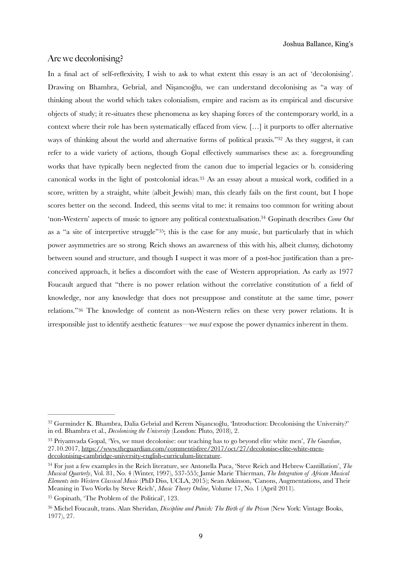## Are we decolonising?

<span id="page-8-8"></span><span id="page-8-7"></span><span id="page-8-6"></span><span id="page-8-5"></span>In a final act of self-reflexivity, I wish to ask to what extent this essay is an act of 'decolonising'. Drawing on Bhambra, Gebrial, and Nişancıoğlu, we can understand decolonising as "a way of thinking about the world which takes colonialism, empire and racism as its empirical and discursive objects of study; it re-situates these phenomena as key shaping forces of the contemporary world, in a context where their role has been systematically effaced from view. […] it purports to offer alternative ways of thinking about the world and alternative forms of political praxis."<sup>[32](#page-8-0)</sup> As they suggest, it can refer to a wide variety of actions, though Gopal effectively summarises these as: a. foregrounding works that have typically been neglected from the canon due to imperial legacies or b. considering canonical works in the light of postcolonial ideas[.](#page-8-1)<sup>[33](#page-8-1)</sup> As an essay about a musical work, codified in a score, written by a straight, white (albeit Jewish) man, this clearly fails on the first count, but I hope scores better on the second. Indeed, this seems vital to me: it remains too common for writing about 'non-Western' aspects of music to ignore any political contextualisation.<sup>34</sup> Gopinath describes *Come Out* as a "a site of interpretive struggle" 35[;](#page-8-3) this is the case for any music, but particularly that in which power asymmetries are so strong. Reich shows an awareness of this with his, albeit clumsy, dichotomy between sound and structure, and though I suspect it was more of a post-hoc justification than a preconceived approach, it belies a discomfort with the ease of Western appropriation. As early as 1977 Foucault argued that "there is no power relation without the correlative constitution of a field of knowledge, nor any knowledge that does not presuppose and constitute at the same time, power relations."<sup>[36](#page-8-4)</sup> The knowledge of content as non-Western relies on these very power relations. It is irresponsible just to identify aesthetic features—we *must* expose the power dynamics inherent in them.

<span id="page-8-9"></span><span id="page-8-0"></span><sup>&</sup>lt;sup>[32](#page-8-5)</sup> Gurminder K. Bhambra, Dalia Gebrial and Kerem Nişancıoğlu, 'Introduction: Decolonising the University?' in ed. Bhambra et al., *Decolonising the University* (London: Pluto, 2018), 2.

<span id="page-8-1"></span><sup>&</sup>lt;sup>[33](#page-8-6)</sup> Priyamvada Gopal, 'Yes, we must decolonise: our teaching has to go beyond elite white men', *The Guardian*, 27.10.2017, [https://www.theguardian.com/commentisfree/2017/oct/27/decolonise-elite-white-men](https://www.theguardian.com/commentisfree/2017/oct/27/decolonise-elite-white-men-decolonising-cambridge-university-english-curriculum-literature)[decolonising-cambridge-university-english-curriculum-literature.](https://www.theguardian.com/commentisfree/2017/oct/27/decolonise-elite-white-men-decolonising-cambridge-university-english-curriculum-literature)

<span id="page-8-2"></span><sup>&</sup>lt;sup>[34](#page-8-7)</sup> For just a few examples in the Reich literature, see Antonella Puca, 'Steve Reich and Hebrew Cantillation', *The Musical Quarterly*, Vol. 81, No. 4 (Winter, 1997), 537-555; Jamie Marie Thierman, *The Integration of African Musical Elements into Western Classical Music* (PhD Diss, UCLA, 2015); Sean Atkinson, 'Canons, Augmentations, and Their Meaning in Two Works by Steve Reich', *Music Theory Online*, Volume 17, No. 1 (April 2011).

<span id="page-8-3"></span> $35$  Gopinath, 'The Problem of the Political', 123.

<span id="page-8-4"></span><sup>&</sup>lt;sup>[36](#page-8-9)</sup> Michel Foucault, trans. Alan Sheridan, *Discipline and Punish: The Birth of the Prison* (New York: Vintage Books, 1977), 27.